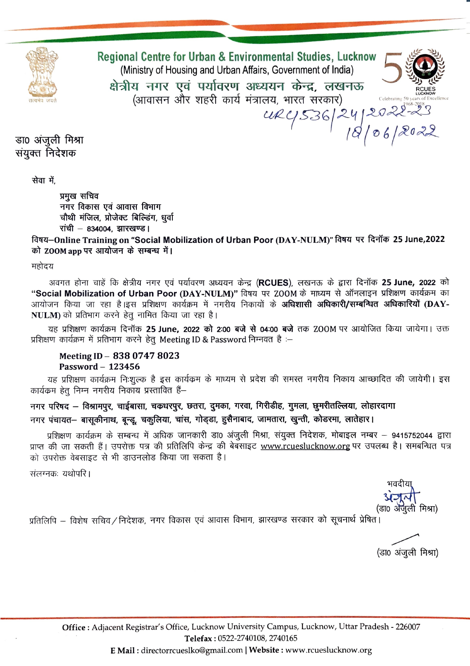

Regional Centre for Urban & Environmental Studies, Lucknow (Ministry of Housing and Urban Affairs, Government of India) क्षेत्रीय नगर एवं पर्यावरण अध्ययन केन्द्र. लखनऊ (आवासन और शहरी कार्य मंत्रालय, भारत सरकार) ag, mar aran,<br>URY 536/24/2022-23

डा0 अंजुली मिश्रा संयुक्त निदेशक

सेवा में.

प्रमुख सचिव नगर विकास एवं आवास विभाग चौथी मंजिल, प्रोजेक्ट बिल्डिंग, धर्वा रांची - 834004, झारखण्ड।

विषय-Online Training on "Social Mobilization of Urban Poor (DAY-NULM)" विषय पर दिनॉक 25 June,2022 को ZOOM app पर आयोजन के सम्बन्ध में।

महोदय

अवगत होना चाहें कि क्षेत्रीय नगर एवं पर्यावरण अध्ययन केन्द्र (RCUES), लखनऊ के द्वारा दिनॉक 25 June, 2022 को "Social Mobilization of Urban Poor (DAY-NULM)" विषय पर ZOOM के माध्यम से ऑनलाइन प्रशिक्षण कार्यक्रम का आयोजन किया जा रहा है।इस प्रशिक्षण कार्यक्रम में नगरीय निकायों के **अधिशासी अधिकारी/सम्बन्धित अधिकारियों (DAY-**NULM) को प्रतिभाग करने हेतू नामित किया जा रहा है।

यह प्रशिक्षण कार्यक्रम दिनॉक 25 June, 2022 को 2:00 बजे से 04:00 बजे तक ZOOM पर आयोजित किया जायेगा। उक्त प्रशिक्षण कार्यक्रम में प्रतिभाग करने हेतू Meeting ID & Password निम्नवत है :–

## Meeting ID - 838 0747 8023 Password  $-123456$

यह प्रशिक्षण कार्यक्रम निःशुल्क है इस कार्यक्रम के माध्यम से प्रदेश की समस्त नगरीय निकाय आच्छादित की जायेगी। इस कार्यक्रम हेतु निम्न नगरीय निकाय प्रस्तावित हैं–

नगर परिषद – विश्रामपुर, चाईबासा, चकधरपुर, छतरा, दुमका, गरवा, गिरीडीह, गुमला, छुमरीतल्लिया, लोहारदागा नगर पंचायत– बासूकीनाथ, बून्झू, चकुलिया, चांस, गोड्डा, हुसैनाबाद, जामतारा, खुन्ती, कोडरमा, लातेहार।

प्रशिक्षण कार्यक्रम के सम्बन्ध में अधिक जानकारी डा0 अंजुली मिश्रा, संयुक्त निदेशक, मोबाइल नम्बर – 9415752044 द्वारा प्राप्त की जा सकती हैं। उपरोक्त पत्र की प्रतिलिपि केन्द्र की बेबसाइट www.rcueslucknow.org पर उपलब्ध है। समबन्धित पत्र को उपरोक्त वेबसाइट से भी डाउनलोड किया जा सकता है।

संलग्नकः यथोपरि ।

(डा0 ॲंजली मिश्रा)

प्रतिलिपि – विशेष सचिव/निदेशक, नगर विकास एवं आवास विभाग, झारखण्ड सरकार को सूचनार्थ प्रेषित।

(डा0 अंजुली मिश्रा)

E Mail: directorrcueslko@gmail.com | Website: www.rcueslucknow.org